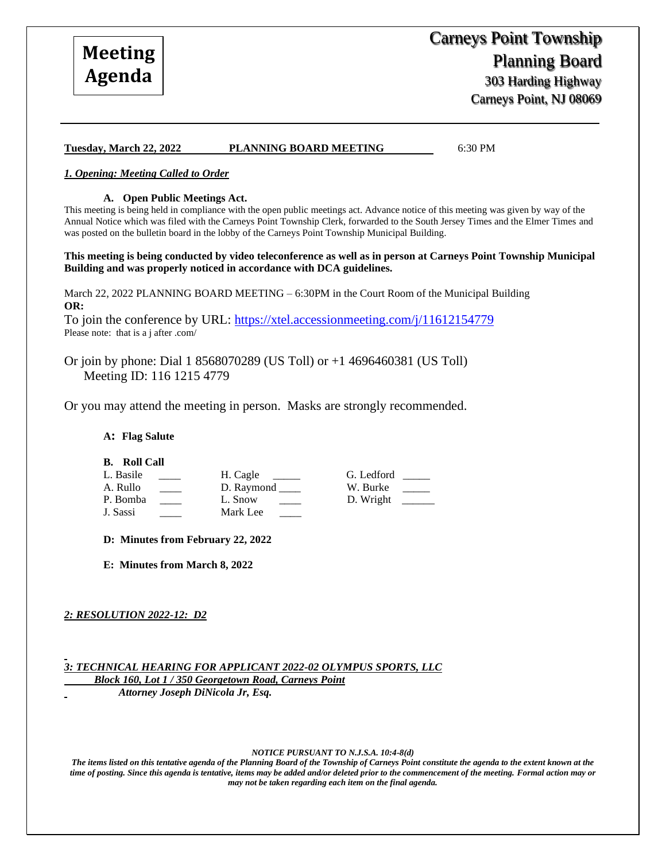# **Tuesday, March 22, 2022 PLANNING BOARD MEETING** 6:30 PM

### *1. Opening: Meeting Called to Order*

#### **A. Open Public Meetings Act.**

This meeting is being held in compliance with the open public meetings act. Advance notice of this meeting was given by way of the Annual Notice which was filed with the Carneys Point Township Clerk, forwarded to the South Jersey Times and the Elmer Times and was posted on the bulletin board in the lobby of the Carneys Point Township Municipal Building.

#### **This meeting is being conducted by video teleconference as well as in person at Carneys Point Township Municipal Building and was properly noticed in accordance with DCA guidelines.**

March 22, 2022 PLANNING BOARD MEETING – 6:30PM in the Court Room of the Municipal Building **OR:**

To join the conference by URL:<https://xtel.accessionmeeting.com/j/11612154779> Please note: that is a j after .com/

Or join by phone: Dial 1 8568070289 (US Toll) or +1 4696460381 (US Toll) Meeting ID: 116 1215 4779

Or you may attend the meeting in person. Masks are strongly recommended.

**A: Flag Salute**

**B. Roll Call**

| L. Basile | H. Cagle   | G. Ledford |
|-----------|------------|------------|
| A. Rullo  | D. Raymond | W. Burke   |
| P. Bomba  | L. Snow    | D. Wright  |
| J. Sassi  | Mark Lee   |            |

**D: Minutes from February 22, 2022** 

**E: Minutes from March 8, 2022**

### *2: RESOLUTION 2022-12: D2*

*3: TECHNICAL HEARING FOR APPLICANT 2022-02 OLYMPUS SPORTS, LLC*

 *Block 160, Lot 1 / 350 Georgetown Road, Carneys Point* 

 *Attorney Joseph DiNicola Jr, Esq.*

*NOTICE PURSUANT TO N.J.S.A. 10:4-8(d)*

*The items listed on this tentative agenda of the Planning Board of the Township of Carneys Point constitute the agenda to the extent known at the time of posting. Since this agenda is tentative, items may be added and/or deleted prior to the commencement of the meeting. Formal action may or may not be taken regarding each item on the final agenda.*